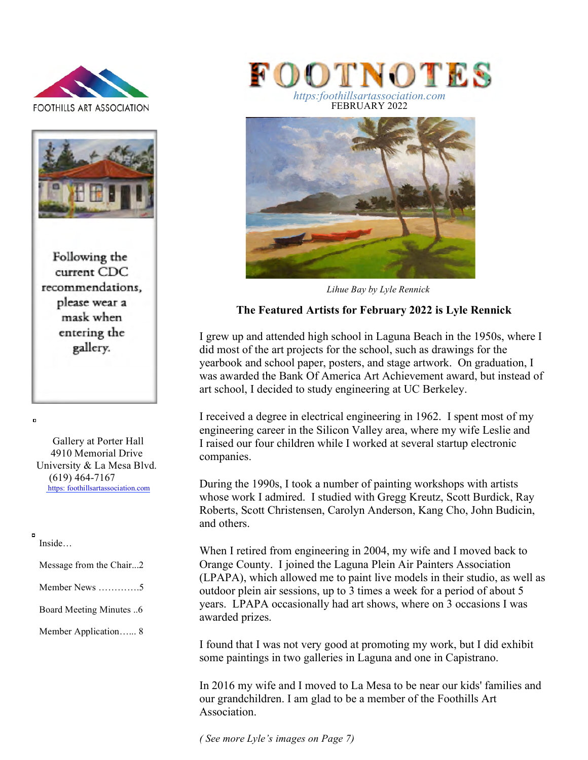



Following the current CDC recommendations. please wear a mask when entering the gallery.

 Gallery at Porter Hall 4910 Memorial Drive University & La Mesa Blvd. (619) 464-7167 https: foothillsartassociation.com

#### Inside…

 $\mathbf{d}$ 

 $\blacksquare$ 

| Message from the Chair2           |
|-----------------------------------|
| Member News $\dots \dots \dots 5$ |
| <b>Board Meeting Minutes</b> 6    |
| Member Application 8              |
|                                   |



FEBRUARY 2022



*Lihue Bay by Lyle Rennick*

# **The Featured Artists for February 2022 is Lyle Rennick**

I grew up and attended high school in Laguna Beach in the 1950s, where I did most of the art projects for the school, such as drawings for the yearbook and school paper, posters, and stage artwork. On graduation, I was awarded the Bank Of America Art Achievement award, but instead of art school, I decided to study engineering at UC Berkeley.

I received a degree in electrical engineering in 1962. I spent most of my engineering career in the Silicon Valley area, where my wife Leslie and I raised our four children while I worked at several startup electronic companies.

During the 1990s, I took a number of painting workshops with artists whose work I admired. I studied with Gregg Kreutz, Scott Burdick, Ray Roberts, Scott Christensen, Carolyn Anderson, Kang Cho, John Budicin, and others.

When I retired from engineering in 2004, my wife and I moved back to Orange County. I joined the Laguna Plein Air Painters Association (LPAPA), which allowed me to paint live models in their studio, as well as outdoor plein air sessions, up to 3 times a week for a period of about 5 years. LPAPA occasionally had art shows, where on 3 occasions I was awarded prizes.

I found that I was not very good at promoting my work, but I did exhibit some paintings in two galleries in Laguna and one in Capistrano.

In 2016 my wife and I moved to La Mesa to be near our kids' families and our grandchildren. I am glad to be a member of the Foothills Art Association.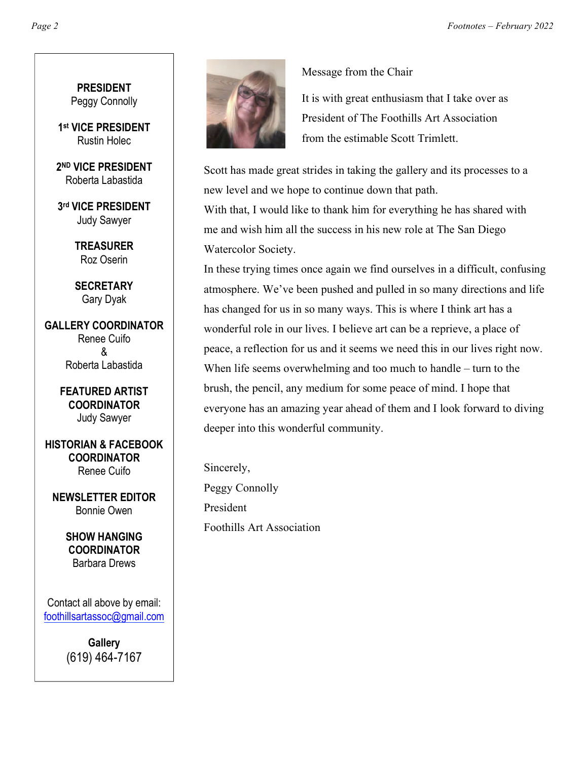**PRESIDENT** Peggy Connolly

**1st VICE PRESIDENT** Rustin Holec

**2ND VICE PRESIDENT** Roberta Labastida

**3rd VICE PRESIDENT** Judy Sawyer

> **TREASURER** Roz Oserin

> **SECRETARY** Gary Dyak

**GALLERY COORDINATOR** Renee Cuifo & Roberta Labastida

> **FEATURED ARTIST COORDINATOR** Judy Sawyer

**HISTORIAN & FACEBOOK COORDINATOR** Renee Cuifo

**NEWSLETTER EDITOR** Bonnie Owen

> **SHOW HANGING COORDINATOR** Barbara Drews

Contact all above by email: foothillsartassoc@gmail.com

> **Gallery** (619) 464-7167



Message from the Chair

It is with great enthusiasm that I take over as President of The Foothills Art Association from the estimable Scott Trimlett.

Scott has made great strides in taking the gallery and its processes to a new level and we hope to continue down that path.

With that, I would like to thank him for everything he has shared with me and wish him all the success in his new role at The San Diego Watercolor Society.

In these trying times once again we find ourselves in a difficult, confusing atmosphere. We've been pushed and pulled in so many directions and life has changed for us in so many ways. This is where I think art has a wonderful role in our lives. I believe art can be a reprieve, a place of peace, a reflection for us and it seems we need this in our lives right now. When life seems overwhelming and too much to handle – turn to the brush, the pencil, any medium for some peace of mind. I hope that everyone has an amazing year ahead of them and I look forward to diving deeper into this wonderful community.

Sincerely, Peggy Connolly President Foothills Art Association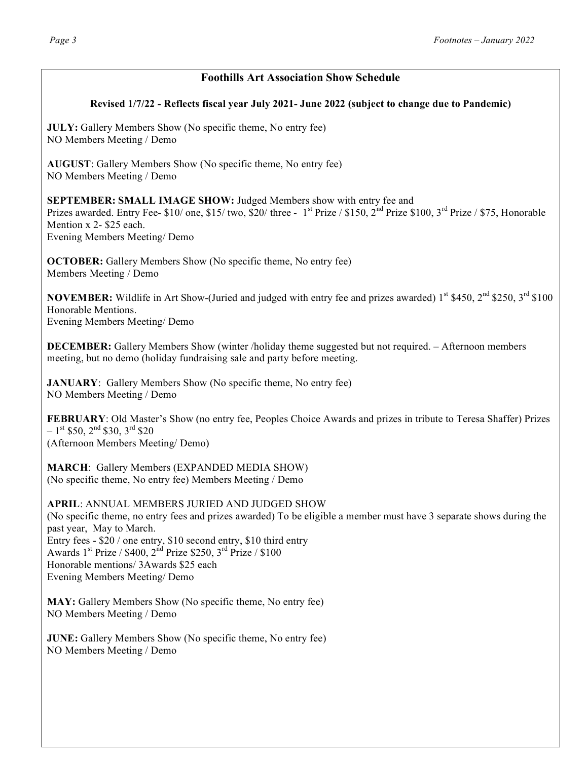# **Foothills Art Association Show Schedule**

### **Revised 1/7/22 - Reflects fiscal year July 2021- June 2022 (subject to change due to Pandemic)**

**JULY:** Gallery Members Show (No specific theme, No entry fee) NO Members Meeting / Demo

**AUGUST**: Gallery Members Show (No specific theme, No entry fee) NO Members Meeting / Demo

**SEPTEMBER: SMALL IMAGE SHOW:** Judged Members show with entry fee and

Prizes awarded. Entry Fee-  $$10/$  one,  $$15/$  two,  $$20/$  three - 1<sup>st</sup> Prize /  $$150, 2<sup>nd</sup>$  Prize  $$100, 3<sup>rd</sup>$  Prize /  $$75$ , Honorable Mention x 2- \$25 each.

Evening Members Meeting/ Demo

**OCTOBER:** Gallery Members Show (No specific theme, No entry fee) Members Meeting / Demo

**NOVEMBER:** Wildlife in Art Show-(Juried and judged with entry fee and prizes awarded)  $1^{st}$  \$450,  $2^{nd}$  \$250,  $3^{rd}$  \$100 Honorable Mentions. Evening Members Meeting/ Demo

**DECEMBER:** Gallery Members Show (winter /holiday theme suggested but not required. – Afternoon members meeting, but no demo (holiday fundraising sale and party before meeting.

**JANUARY:** Gallery Members Show (No specific theme, No entry fee) NO Members Meeting / Demo

**FEBRUARY**: Old Master's Show (no entry fee, Peoples Choice Awards and prizes in tribute to Teresa Shaffer) Prizes  $-1$ <sup>st</sup> \$50, 2<sup>nd</sup> \$30, 3<sup>rd</sup> \$20 (Afternoon Members Meeting/ Demo)

**MARCH**: Gallery Members (EXPANDED MEDIA SHOW) (No specific theme, No entry fee) Members Meeting / Demo

**APRIL**: ANNUAL MEMBERS JURIED AND JUDGED SHOW (No specific theme, no entry fees and prizes awarded) To be eligible a member must have 3 separate shows during the past year, May to March. Entry fees - \$20 / one entry, \$10 second entry, \$10 third entry Awards  $1^{st}$  Prize / \$400,  $2^{nd}$  Prize \$250,  $3^{rd}$  Prize / \$100 Honorable mentions/ 3Awards \$25 each Evening Members Meeting/ Demo

**MAY:** Gallery Members Show (No specific theme, No entry fee) NO Members Meeting / Demo

**JUNE:** Gallery Members Show (No specific theme, No entry fee) NO Members Meeting / Demo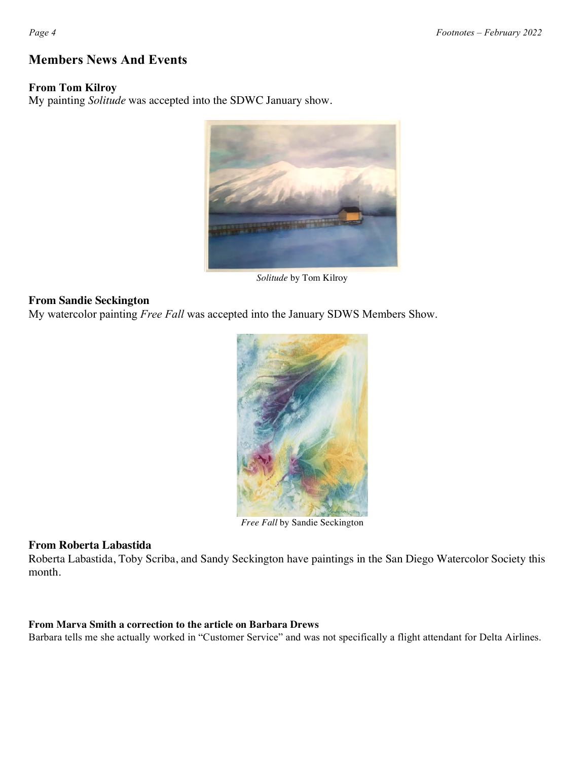# **Members News And Events**

### **From Tom Kilroy**

My painting *Solitude* was accepted into the SDWC January show.



*Solitude* by Tom Kilroy

### **From Sandie Seckington**

My watercolor painting *Free Fall* was accepted into the January SDWS Members Show.



*Free Fall* by Sandie Seckington

#### **From Roberta Labastida**

Roberta Labastida, Toby Scriba, and Sandy Seckington have paintings in the San Diego Watercolor Society this month.

#### **From Marva Smith a correction to the article on Barbara Drews**

Barbara tells me she actually worked in "Customer Service" and was not specifically a flight attendant for Delta Airlines.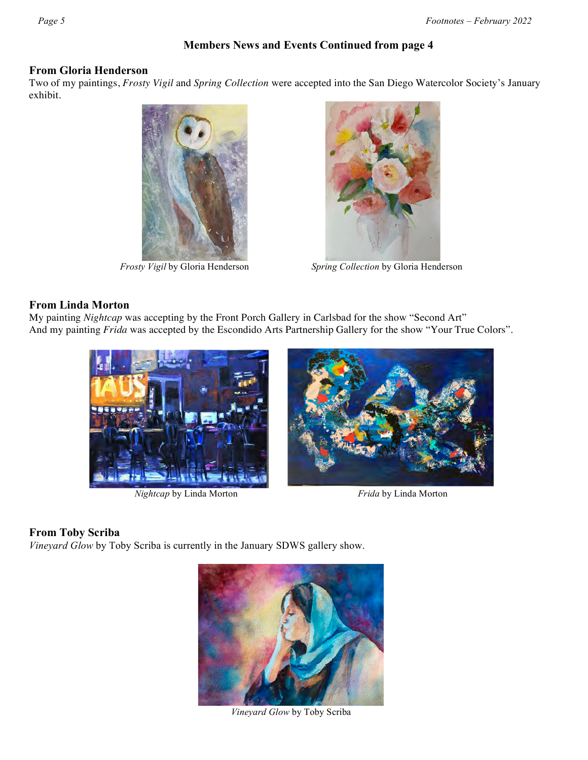# **Members News and Events Continued from page 4**

#### **From Gloria Henderson**

Two of my paintings, *Frosty Vigil* and *Spring Collection* were accepted into the San Diego Watercolor Society's January exhibit.





*Frosty Vigil* by Gloria Henderson *Spring Collection* by Gloria Henderson

### **From Linda Morton**

My painting *Nightcap* was accepting by the Front Porch Gallery in Carlsbad for the show "Second Art" And my painting *Frida* was accepted by the Escondido Arts Partnership Gallery for the show "Your True Colors".



*Nightcap* by Linda Morton *Frida* by Linda Morton



### **From Toby Scriba**

*Vineyard Glow* by Toby Scriba is currently in the January SDWS gallery show.



*Vineyard Glow* by Toby Scriba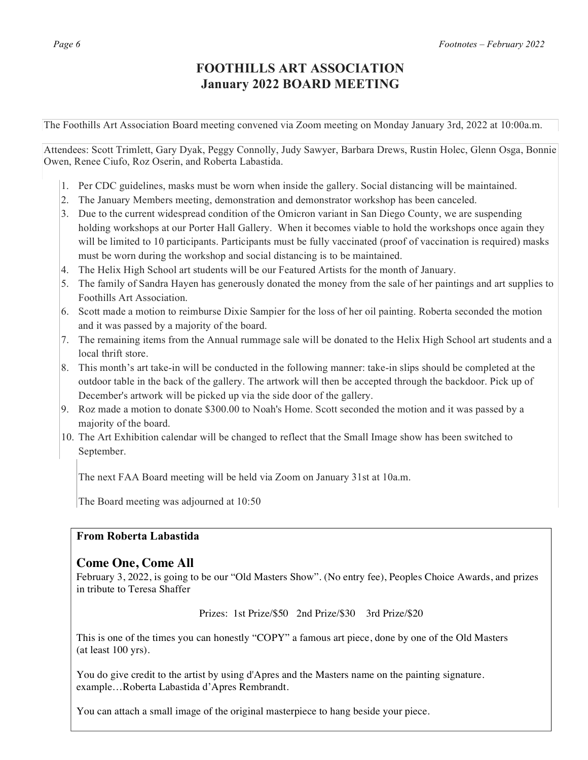# **FOOTHILLS ART ASSOCIATION January 2022 BOARD MEETING**

The Foothills Art Association Board meeting convened via Zoom meeting on Monday January 3rd, 2022 at 10:00a.m.

Attendees: Scott Trimlett, Gary Dyak, Peggy Connolly, Judy Sawyer, Barbara Drews, Rustin Holec, Glenn Osga, Bonnie Owen, Renee Ciufo, Roz Oserin, and Roberta Labastida.

- 1. Per CDC guidelines, masks must be worn when inside the gallery. Social distancing will be maintained.
- 2. The January Members meeting, demonstration and demonstrator workshop has been canceled.
- 3. Due to the current widespread condition of the Omicron variant in San Diego County, we are suspending holding workshops at our Porter Hall Gallery. When it becomes viable to hold the workshops once again they will be limited to 10 participants. Participants must be fully vaccinated (proof of vaccination is required) masks must be worn during the workshop and social distancing is to be maintained.
- 4. The Helix High School art students will be our Featured Artists for the month of January.
- 5. The family of Sandra Hayen has generously donated the money from the sale of her paintings and art supplies to Foothills Art Association.
- 6. Scott made a motion to reimburse Dixie Sampier for the loss of her oil painting. Roberta seconded the motion and it was passed by a majority of the board.
- 7. The remaining items from the Annual rummage sale will be donated to the Helix High School art students and a local thrift store.
- 8. This month's art take-in will be conducted in the following manner: take-in slips should be completed at the outdoor table in the back of the gallery. The artwork will then be accepted through the backdoor. Pick up of December's artwork will be picked up via the side door of the gallery.
- 9. Roz made a motion to donate \$300.00 to Noah's Home. Scott seconded the motion and it was passed by a majority of the board.
- 10. The Art Exhibition calendar will be changed to reflect that the Small Image show has been switched to September.

The next FAA Board meeting will be held via Zoom on January 31st at 10a.m.

The Board meeting was adjourned at 10:50

## **From Roberta Labastida**

#### **Come One, Come All**

February 3, 2022, is going to be our "Old Masters Show". (No entry fee), Peoples Choice Awards, and prizes in tribute to Teresa Shaffer

Prizes: 1st Prize/\$50 2nd Prize/\$30 3rd Prize/\$20

This is one of the times you can honestly "COPY" a famous art piece, done by one of the Old Masters (at least 100 yrs).

You do give credit to the artist by using d'Apres and the Masters name on the painting signature. example…Roberta Labastida d'Apres Rembrandt.

You can attach a small image of the original masterpiece to hang beside your piece.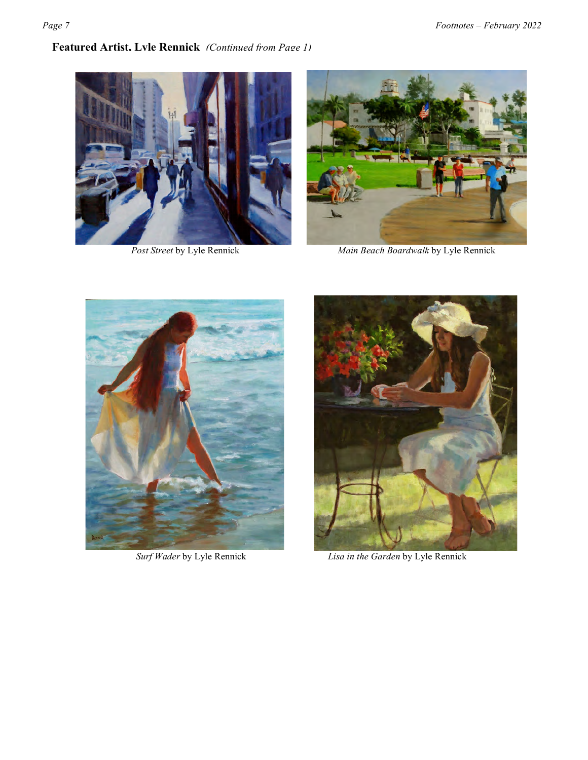# **Featured Artist, Lyle Rennick** *(Continued from Page 1)*





**Post Street by Lyle Rennick** *Main Beach Boardwalk* by Lyle Rennick





*Surf Wader* by Lyle Rennick *Lisa in the Garden* by Lyle Rennick